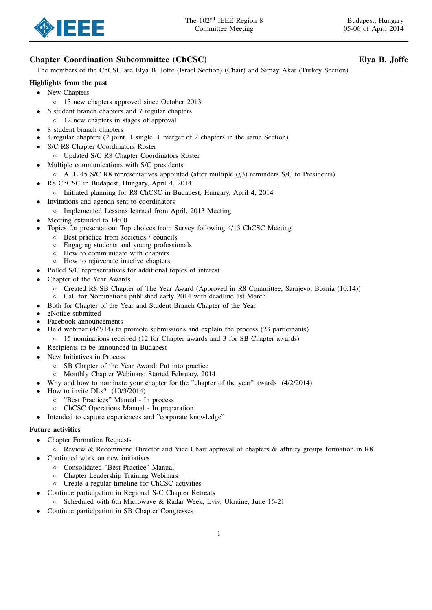

# Chapter Coordination Subcommittee (ChCSC) Elya B. Joffe

The members of the ChCSC are Elya B. Joffe (Israel Section) (Chair) and Simay Akar (Turkey Section)

## Highlights from the past

- New Chapters
	- 13 new chapters approved since October 2013
	- 6 student branch chapters and 7 regular chapters
		- 12 new chapters in stages of approval
- 8 student branch chapters
- 4 regular chapters (2 joint, 1 single, 1 merger of 2 chapters in the same Section)
- S/C R8 Chapter Coordinators Roster
	- Updated S/C R8 Chapter Coordinators Roster
- Multiple communications with S/C presidents
	- $\circ$  ALL 45 S/C R8 representatives appointed (after multiple  $(i,3)$  reminders S/C to Presidents)
- R8 ChCSC in Budapest, Hungary, April 4, 2014
	- Initiated planning for R8 ChCSC in Budapest, Hungary, April 4, 2014
- Invitations and agenda sent to coordinators
	- Implemented Lessons learned from April, 2013 Meeting
- Meeting extended to 14:00
- Topics for presentation: Top choices from Survey following 4/13 ChCSC Meeting
	- Best practice from societies / councils
		- Engaging students and young professionals
	- How to communicate with chapters
	- How to rejuvenate inactive chapters
- Polled S/C representatives for additional topics of interest
- Chapter of the Year Awards
	- Created R8 SB Chapter of The Year Award (Approved in R8 Committee, Sarajevo, Bosnia (10.14))
	- Call for Nominations published early 2014 with deadline 1st March
- Both for Chapter of the Year and Student Branch Chapter of the Year
- eNotice submitted
- Facebook announcements
- Held webinar (4/2/14) to promote submissions and explain the process (23 participants)
- 15 nominations received (12 for Chapter awards and 3 for SB Chapter awards)
- Recipients to be announced in Budapest
- New Initiatives in Process
	- SB Chapter of the Year Award: Put into practice
	- Monthly Chapter Webinars: Started February, 2014
- Why and how to nominate your chapter for the "chapter of the year" awards (4/2/2014)
- How to invite DLs? (10/3/2014)
	- "Best Practices" Manual In process
	- ChCSC Operations Manual In preparation
- Intended to capture experiences and "corporate knowledge"

### Future activities

- Chapter Formation Requests
	- Review & Recommend Director and Vice Chair approval of chapters & affinity groups formation in R8
- Continued work on new initiatives
	- Consolidated "Best Practice" Manual
	- Chapter Leadership Training Webinars
	- Create a regular timeline for ChCSC activities
	- Continue participation in Regional S-C Chapter Retreats
	- Scheduled with 6th Microwave & Radar Week, Lviv, Ukraine, June 16-21
- Continue participation in SB Chapter Congresses